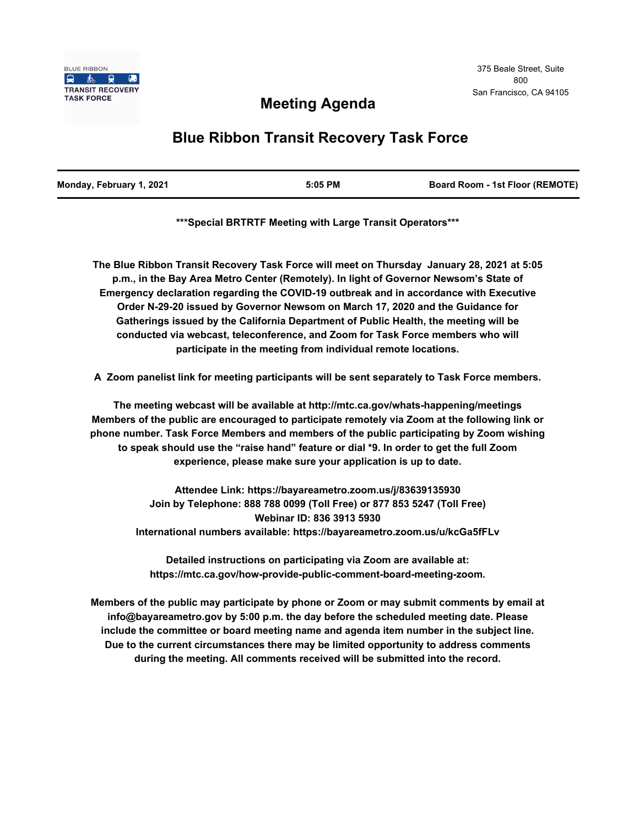## **Meeting Agenda**

# **Blue Ribbon Transit Recovery Task Force**

| Monday, February 1, 2021 | 5:05 PM | <b>Board Room - 1st Floor (REMOTE)</b> |
|--------------------------|---------|----------------------------------------|
|                          |         |                                        |

**\*\*\*Special BRTRTF Meeting with Large Transit Operators\*\*\***

**The Blue Ribbon Transit Recovery Task Force will meet on Thursday January 28, 2021 at 5:05 p.m., in the Bay Area Metro Center (Remotely). In light of Governor Newsom's State of Emergency declaration regarding the COVID-19 outbreak and in accordance with Executive Order N-29-20 issued by Governor Newsom on March 17, 2020 and the Guidance for Gatherings issued by the California Department of Public Health, the meeting will be conducted via webcast, teleconference, and Zoom for Task Force members who will participate in the meeting from individual remote locations.** 

**A Zoom panelist link for meeting participants will be sent separately to Task Force members.**

**The meeting webcast will be available at http://mtc.ca.gov/whats-happening/meetings Members of the public are encouraged to participate remotely via Zoom at the following link or phone number. Task Force Members and members of the public participating by Zoom wishing to speak should use the "raise hand" feature or dial \*9. In order to get the full Zoom experience, please make sure your application is up to date.**

> **Attendee Link: https://bayareametro.zoom.us/j/83639135930 Join by Telephone: 888 788 0099 (Toll Free) or 877 853 5247 (Toll Free) Webinar ID: 836 3913 5930 International numbers available: https://bayareametro.zoom.us/u/kcGa5fFLv**

**Detailed instructions on participating via Zoom are available at: https://mtc.ca.gov/how-provide-public-comment-board-meeting-zoom.**

**Members of the public may participate by phone or Zoom or may submit comments by email at info@bayareametro.gov by 5:00 p.m. the day before the scheduled meeting date. Please include the committee or board meeting name and agenda item number in the subject line. Due to the current circumstances there may be limited opportunity to address comments during the meeting. All comments received will be submitted into the record.**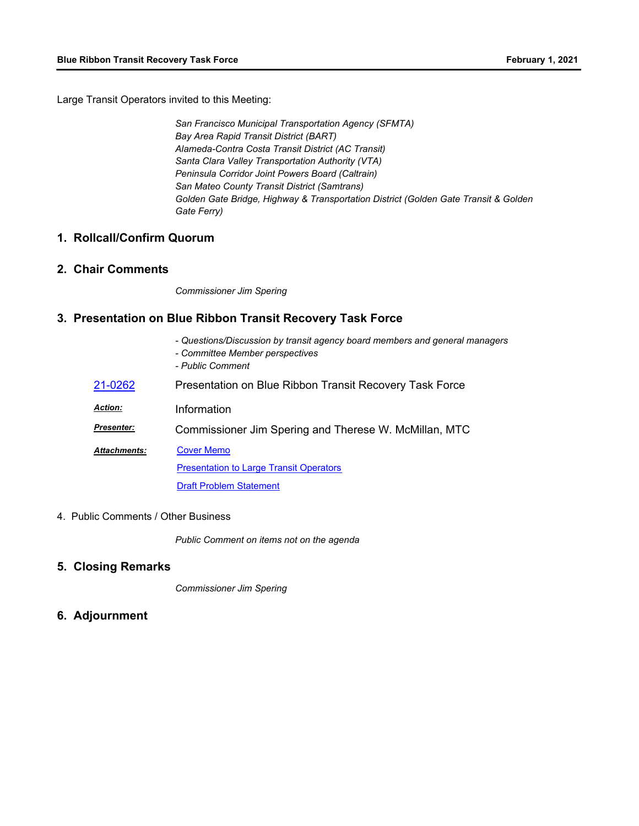Large Transit Operators invited to this Meeting:

*San Francisco Municipal Transportation Agency (SFMTA) Bay Area Rapid Transit District (BART) Alameda-Contra Costa Transit District (AC Transit) Santa Clara Valley Transportation Authority (VTA) Peninsula Corridor Joint Powers Board (Caltrain) San Mateo County Transit District (Samtrans) Golden Gate Bridge, Highway & Transportation District (Golden Gate Transit & Golden Gate Ferry)*

#### **1. Rollcall/Confirm Quorum**

#### **2. Chair Comments**

*Commissioner Jim Spering*

### **3. Presentation on Blue Ribbon Transit Recovery Task Force**

- *Questions/Discussion by transit agency board members and general managers*
- *Committee Member perspectives*
- *Public Comment*

| 21-0262             | Presentation on Blue Ribbon Transit Recovery Task Force |  |
|---------------------|---------------------------------------------------------|--|
| <b>Action:</b>      | Information                                             |  |
| <b>Presenter:</b>   | Commissioner Jim Spering and Therese W. McMillan, MTC   |  |
| <b>Attachments:</b> | <b>Cover Memo</b>                                       |  |
|                     | <b>Presentation to Large Transit Operators</b>          |  |
|                     | <b>Draft Problem Statement</b>                          |  |

4. Public Comments / Other Business

*Public Comment on items not on the agenda*

#### **5. Closing Remarks**

*Commissioner Jim Spering*

**6. Adjournment**